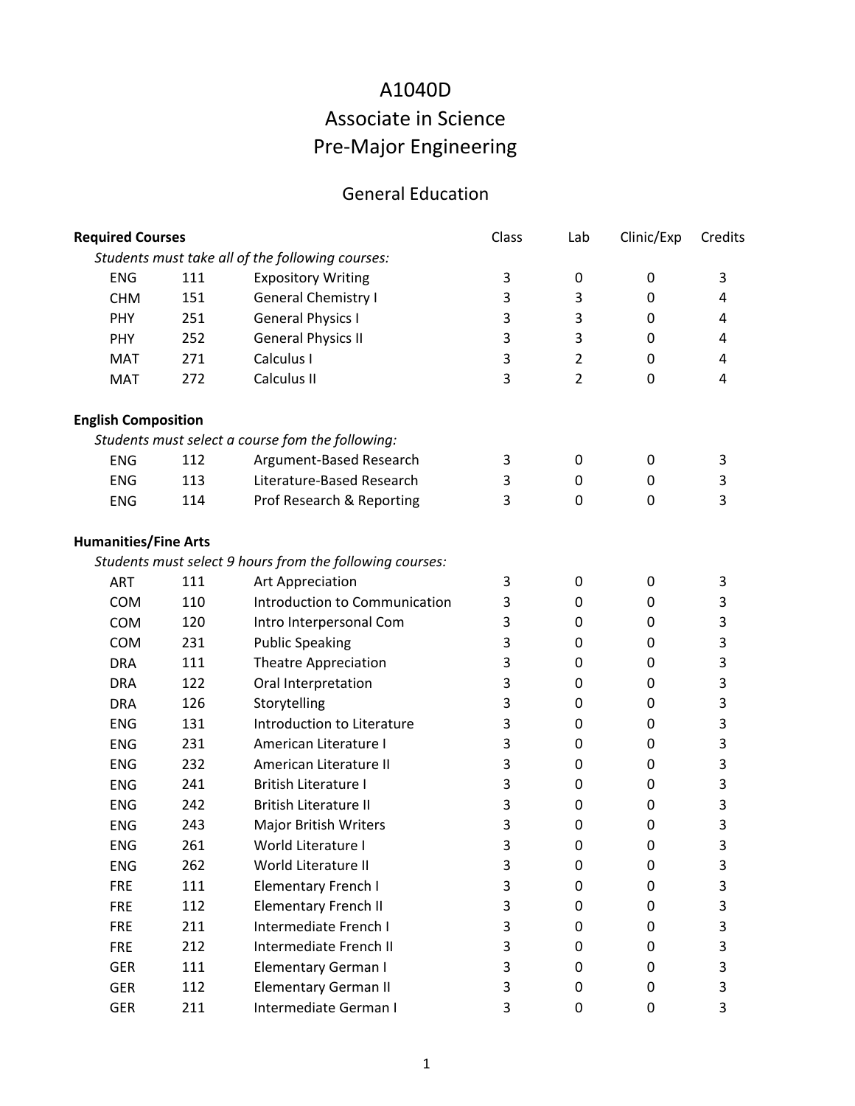## Associate in Science Pre‐Major Engineering A1040D

## General Education

| <b>Required Courses</b>     |     |                                                          | Class | Lab              | Clinic/Exp | Credits |
|-----------------------------|-----|----------------------------------------------------------|-------|------------------|------------|---------|
|                             |     | Students must take all of the following courses:         |       |                  |            |         |
| <b>ENG</b>                  | 111 | <b>Expository Writing</b>                                | 3     | 0                | 0          | 3       |
| <b>CHM</b>                  | 151 | <b>General Chemistry I</b>                               | 3     | 3                | 0          | 4       |
| PHY                         | 251 | <b>General Physics I</b>                                 | 3     | 3                | 0          | 4       |
| <b>PHY</b>                  | 252 | <b>General Physics II</b>                                | 3     | 3                | 0          | 4       |
| <b>MAT</b>                  | 271 | Calculus I                                               | 3     | $\overline{2}$   | 0          | 4       |
| <b>MAT</b>                  | 272 | Calculus II                                              | 3     | $\overline{2}$   | 0          | 4       |
| <b>English Composition</b>  |     |                                                          |       |                  |            |         |
|                             |     | Students must select a course fom the following:         |       |                  |            |         |
| <b>ENG</b>                  | 112 | Argument-Based Research                                  | 3     | 0                | 0          | 3       |
| <b>ENG</b>                  | 113 | Literature-Based Research                                | 3     | 0                | 0          | 3       |
| <b>ENG</b>                  | 114 | Prof Research & Reporting                                | 3     | $\boldsymbol{0}$ | 0          | 3       |
| <b>Humanities/Fine Arts</b> |     |                                                          |       |                  |            |         |
|                             |     | Students must select 9 hours from the following courses: |       |                  |            |         |
| <b>ART</b>                  | 111 | Art Appreciation                                         | 3     | $\boldsymbol{0}$ | 0          | 3       |
| COM                         | 110 | Introduction to Communication                            | 3     | $\boldsymbol{0}$ | 0          | 3       |
| COM                         | 120 | Intro Interpersonal Com                                  | 3     | 0                | 0          | 3       |
| COM                         | 231 | <b>Public Speaking</b>                                   | 3     | 0                | 0          | 3       |
| <b>DRA</b>                  | 111 | Theatre Appreciation                                     | 3     | $\boldsymbol{0}$ | $\pmb{0}$  | 3       |
| <b>DRA</b>                  | 122 | Oral Interpretation                                      | 3     | 0                | 0          | 3       |
| <b>DRA</b>                  | 126 | Storytelling                                             | 3     | 0                | 0          | 3       |
| <b>ENG</b>                  | 131 | Introduction to Literature                               | 3     | 0                | 0          | 3       |
| <b>ENG</b>                  | 231 | American Literature I                                    | 3     | 0                | 0          | 3       |
| <b>ENG</b>                  | 232 | American Literature II                                   | 3     | 0                | 0          | 3       |
| <b>ENG</b>                  | 241 | <b>British Literature I</b>                              | 3     | $\boldsymbol{0}$ | 0          | 3       |
| <b>ENG</b>                  | 242 | <b>British Literature II</b>                             | 3     | $\boldsymbol{0}$ | 0          | 3       |
| <b>ENG</b>                  | 243 | <b>Major British Writers</b>                             | 3     | 0                | 0          | 3       |
| <b>ENG</b>                  | 261 | World Literature I                                       | 3     | 0                | 0          | 3       |
| <b>ENG</b>                  | 262 | World Literature II                                      | 3     | 0                | 0          | 3       |
| <b>FRE</b>                  | 111 | <b>Elementary French I</b>                               | 3     | 0                | 0          | 3       |
| <b>FRE</b>                  | 112 | <b>Elementary French II</b>                              | 3     | 0                | 0          | 3       |
| <b>FRE</b>                  | 211 | Intermediate French I                                    | 3     | 0                | 0          | 3       |
| <b>FRE</b>                  | 212 | Intermediate French II                                   | 3     | 0                | 0          | 3       |
| <b>GER</b>                  | 111 | <b>Elementary German I</b>                               | 3     | 0                | 0          | 3       |
| <b>GER</b>                  | 112 | <b>Elementary German II</b>                              | 3     | 0                | 0          | 3       |
| <b>GER</b>                  | 211 | Intermediate German I                                    | 3     | 0                | 0          | 3       |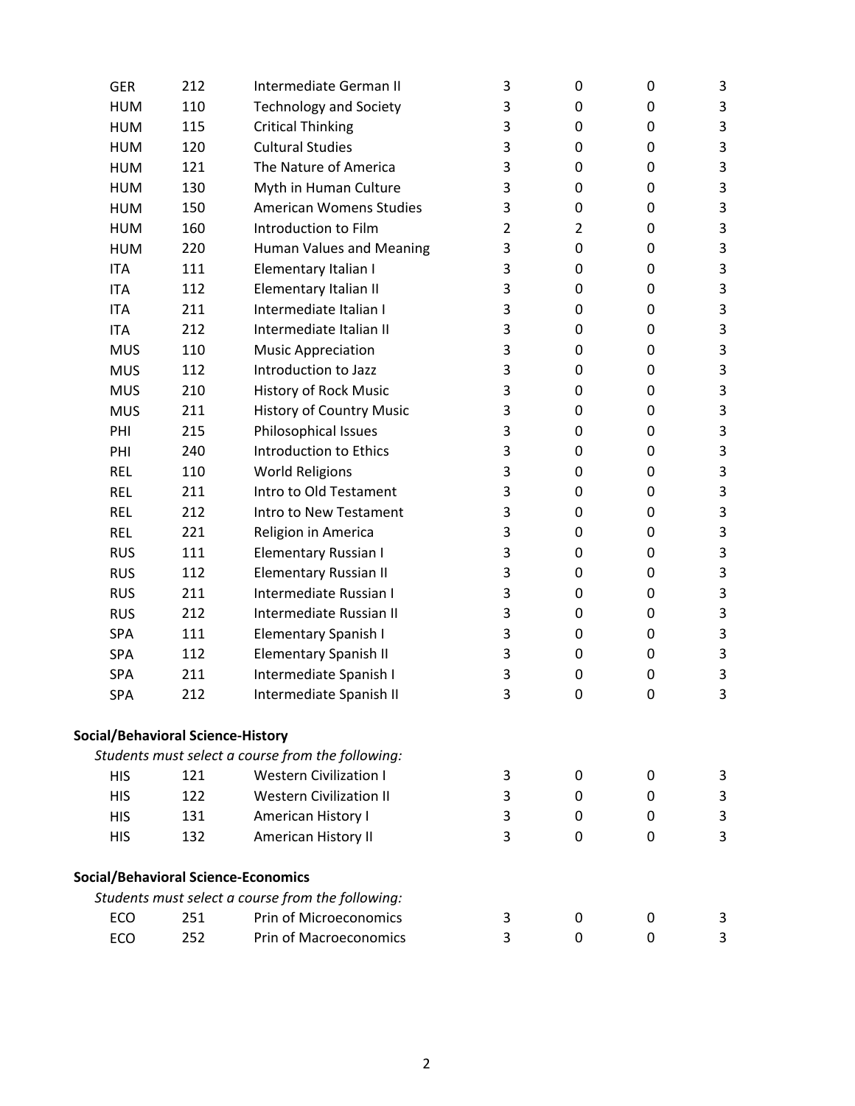| <b>GER</b>                               | 212 | Intermediate German II                            | 3              | $\mathbf 0$    | 0        | 3                         |
|------------------------------------------|-----|---------------------------------------------------|----------------|----------------|----------|---------------------------|
| <b>HUM</b>                               | 110 | <b>Technology and Society</b>                     | 3              | 0              | 0        | 3                         |
| <b>HUM</b>                               | 115 | <b>Critical Thinking</b>                          | 3              | $\pmb{0}$      | 0        | 3                         |
| <b>HUM</b>                               | 120 | <b>Cultural Studies</b>                           | 3              | 0              | $\Omega$ | 3                         |
| <b>HUM</b>                               | 121 | The Nature of America                             | 3              | 0              | 0        | $\mathsf 3$               |
| <b>HUM</b>                               | 130 | Myth in Human Culture                             | 3              | 0              | 0        | 3                         |
| <b>HUM</b>                               | 150 | <b>American Womens Studies</b>                    | 3              | $\mathbf 0$    | 0        | 3                         |
| <b>HUM</b>                               | 160 | Introduction to Film                              | $\overline{2}$ | $\overline{2}$ | 0        | $\mathsf 3$               |
| <b>HUM</b>                               | 220 | Human Values and Meaning                          | 3              | 0              | 0        | 3                         |
| <b>ITA</b>                               | 111 | Elementary Italian I                              | 3              | 0              | 0        | 3                         |
| <b>ITA</b>                               | 112 | Elementary Italian II                             | 3              | 0              | 0        | $\mathbf{3}$              |
| <b>ITA</b>                               | 211 | Intermediate Italian I                            | 3              | 0              | 0        | $\ensuremath{\mathsf{3}}$ |
| <b>ITA</b>                               | 212 | Intermediate Italian II                           | 3              | 0              | 0        | $\mathsf 3$               |
| <b>MUS</b>                               | 110 | <b>Music Appreciation</b>                         | 3              | 0              | 0        | 3                         |
| <b>MUS</b>                               | 112 | Introduction to Jazz                              | 3              | $\mathbf 0$    | 0        | 3                         |
| <b>MUS</b>                               | 210 | <b>History of Rock Music</b>                      | 3              | 0              | 0        | 3                         |
| <b>MUS</b>                               | 211 | <b>History of Country Music</b>                   | 3              | 0              | 0        | 3                         |
| PHI                                      | 215 | Philosophical Issues                              | 3              | 0              | 0        | $\mathsf 3$               |
| PHI                                      | 240 | Introduction to Ethics                            | 3              | 0              | 0        | 3                         |
| <b>REL</b>                               | 110 | <b>World Religions</b>                            | 3              | $\mathbf 0$    | 0        | $\mathbf{3}$              |
| <b>REL</b>                               | 211 | Intro to Old Testament                            | 3              | 0              | 0        | 3                         |
| <b>REL</b>                               | 212 | Intro to New Testament                            | 3              | $\pmb{0}$      | 0        | 3                         |
| <b>REL</b>                               | 221 | Religion in America                               | 3              | 0              | 0        | $\mathsf 3$               |
| <b>RUS</b>                               | 111 | <b>Elementary Russian I</b>                       | 3              | 0              | 0        | 3                         |
| <b>RUS</b>                               | 112 | <b>Elementary Russian II</b>                      | 3              | 0              | 0        | 3                         |
| <b>RUS</b>                               | 211 | Intermediate Russian I                            | 3              | 0              | 0        | 3                         |
| <b>RUS</b>                               | 212 | Intermediate Russian II                           | 3              | $\mathbf 0$    | 0        | $\mathsf 3$               |
| SPA                                      | 111 | Elementary Spanish I                              | 3              | 0              | 0        | 3                         |
| SPA                                      | 112 | <b>Elementary Spanish II</b>                      | 3              | 0              | 0        | 3                         |
| <b>SPA</b>                               | 211 | Intermediate Spanish I                            | 3              | 0              | 0        | 3                         |
| <b>SPA</b>                               | 212 | Intermediate Spanish II                           | 3              | $\mathbf 0$    | 0        | 3                         |
| <b>Social/Behavioral Science-History</b> |     |                                                   |                |                |          |                           |
|                                          |     | Students must select a course from the following: |                |                |          |                           |
| <b>HIS</b>                               | 121 | <b>Western Civilization I</b>                     | 3              | 0              | 0        | 3                         |
| <b>HIS</b>                               | 122 | <b>Western Civilization II</b>                    | 3              | 0              | 0        | 3                         |
| <b>HIS</b>                               | 131 | American History I                                | 3              | 0              | 0        | $\mathsf 3$               |
| <b>HIS</b>                               | 132 | American History II                               | 3              | $\mathbf{0}$   | $\Omega$ | 3                         |
|                                          |     | <b>Social/Behavioral Science-Economics</b>        |                |                |          |                           |
|                                          |     | Students must select a course from the following: |                |                |          |                           |
| ECO                                      | 251 | Prin of Microeconomics                            | 3              | 0              | 0        | 3                         |
| ECO                                      | 252 | Prin of Macroeconomics                            | 3              | 0              | 0        | 3                         |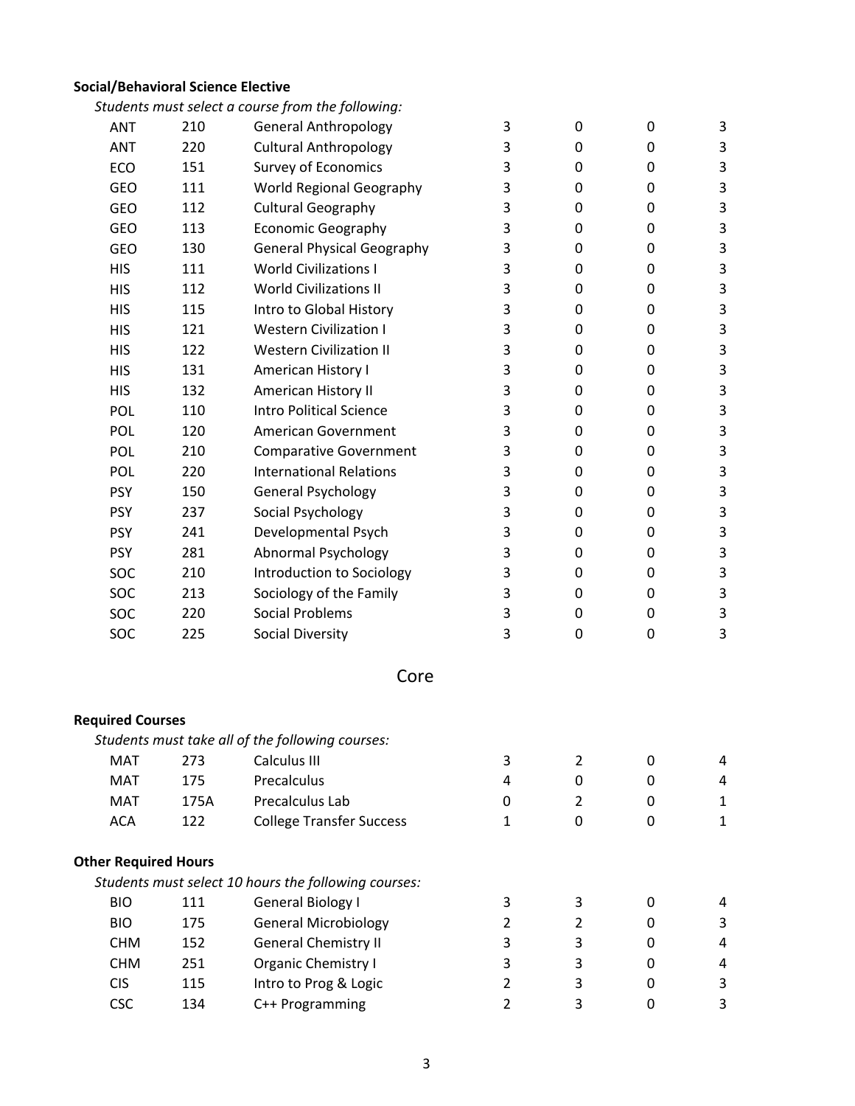## **Social/Behavioral Science Elective**

|                             |      | Students must select a course from the following:    |                |                  |   |                           |
|-----------------------------|------|------------------------------------------------------|----------------|------------------|---|---------------------------|
| <b>ANT</b>                  | 210  | <b>General Anthropology</b>                          | 3              | $\mathbf 0$      | 0 | $\mathbf{3}$              |
| <b>ANT</b>                  | 220  | <b>Cultural Anthropology</b>                         | 3              | $\mathbf 0$      | 0 | $\mathsf 3$               |
| ECO                         | 151  | Survey of Economics                                  | 3              | $\pmb{0}$        | 0 | $\mathsf 3$               |
| GEO                         | 111  | World Regional Geography                             | 3              | 0                | 0 | 3                         |
| GEO                         | 112  | <b>Cultural Geography</b>                            | 3              | $\pmb{0}$        | 0 | 3                         |
| GEO                         | 113  | <b>Economic Geography</b>                            | 3              | 0                | 0 | $\mathsf 3$               |
| GEO                         | 130  | <b>General Physical Geography</b>                    | 3              | 0                | 0 | $\mathsf 3$               |
| <b>HIS</b>                  | 111  | <b>World Civilizations I</b>                         | 3              | 0                | 0 | $\mathsf 3$               |
| <b>HIS</b>                  | 112  | <b>World Civilizations II</b>                        | 3              | $\mathbf 0$      | 0 | 3                         |
| <b>HIS</b>                  | 115  | Intro to Global History                              | 3              | $\boldsymbol{0}$ | 0 | $\mathsf 3$               |
| <b>HIS</b>                  | 121  | <b>Western Civilization I</b>                        | 3              | 0                | 0 | $\mathsf 3$               |
| <b>HIS</b>                  | 122  | <b>Western Civilization II</b>                       | 3              | 0                | 0 | 3                         |
| <b>HIS</b>                  | 131  | American History I                                   | 3              | 0                | 0 | $\ensuremath{\mathsf{3}}$ |
| <b>HIS</b>                  | 132  | American History II                                  | 3              | $\mathbf 0$      | 0 | $\mathsf 3$               |
| POL                         | 110  | <b>Intro Political Science</b>                       | 3              | 0                | 0 | $\mathsf 3$               |
| <b>POL</b>                  | 120  | American Government                                  | 3              | 0                | 0 | 3                         |
| <b>POL</b>                  | 210  | <b>Comparative Government</b>                        | 3              | $\boldsymbol{0}$ | 0 | 3                         |
| <b>POL</b>                  | 220  | <b>International Relations</b>                       | 3              | 0                | 0 | $\ensuremath{\mathsf{3}}$ |
| <b>PSY</b>                  | 150  | <b>General Psychology</b>                            | 3              | 0                | 0 | $\mathsf 3$               |
| <b>PSY</b>                  | 237  | Social Psychology                                    | 3              | 0                | 0 | $\mathsf 3$               |
| <b>PSY</b>                  | 241  | Developmental Psych                                  | 3              | $\mathbf 0$      | 0 | $\mathsf 3$               |
| <b>PSY</b>                  | 281  | <b>Abnormal Psychology</b>                           | 3              | $\boldsymbol{0}$ | 0 | $\mathsf 3$               |
| SOC                         | 210  | Introduction to Sociology                            | 3              | 0                | 0 | 3                         |
| SOC                         | 213  | Sociology of the Family                              | 3              | 0                | 0 | 3                         |
| SOC                         | 220  | <b>Social Problems</b>                               | 3              | 0                | 0 | $\mathsf 3$               |
| SOC                         | 225  | <b>Social Diversity</b>                              | 3              | $\pmb{0}$        | 0 | 3                         |
|                             |      | Core                                                 |                |                  |   |                           |
| <b>Required Courses</b>     |      |                                                      |                |                  |   |                           |
|                             |      | Students must take all of the following courses:     |                |                  |   |                           |
| <b>MAT</b>                  | 273  | Calculus III                                         | 3              | $\overline{2}$   | 0 | 4                         |
| <b>MAT</b>                  | 175  | Precalculus                                          | 4              | 0                | 0 | 4                         |
| <b>MAT</b>                  | 175A | Precalculus Lab                                      | 0              | $\overline{2}$   | 0 | $\mathbf 1$               |
| <b>ACA</b>                  | 122  | <b>College Transfer Success</b>                      | $\mathbf{1}$   | $\mathbf 0$      | 0 | $\mathbf 1$               |
| <b>Other Required Hours</b> |      |                                                      |                |                  |   |                           |
|                             |      | Students must select 10 hours the following courses: |                |                  |   |                           |
| <b>BIO</b>                  | 111  | <b>General Biology I</b>                             | 3              | 3                | 0 | 4                         |
| <b>BIO</b>                  | 175  | <b>General Microbiology</b>                          | $\overline{2}$ | $\overline{2}$   | 0 | 3                         |
| <b>CHM</b>                  | 152  | <b>General Chemistry II</b>                          | 3              | 3                | 0 | 4                         |
| <b>CHM</b>                  | 251  | <b>Organic Chemistry I</b>                           | 3              | 3                | 0 | 4                         |
| <b>CIS</b>                  | 115  | Intro to Prog & Logic                                | $\overline{2}$ | 3                | 0 | $\mathsf 3$               |
| <b>CSC</b>                  | 134  | C++ Programming                                      | $\overline{2}$ | 3                | 0 | 3                         |